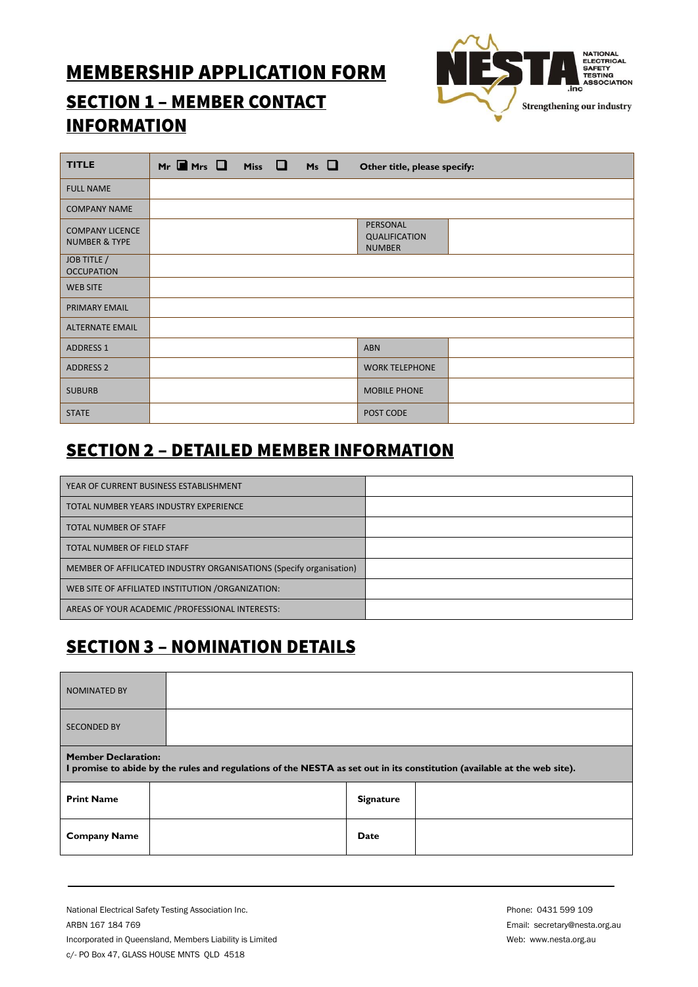# **MEMBERSHIP APPLICATION FORM**



# **SECTION 1 - MEMBER CONTACT INFORMATION**

| <b>TITLE</b>                                       | $M_r$ $\blacksquare$ $Mrs$ $\square$ $Mis$ $\square$ $Ms$ $\square$ |  | Other title, please specify:                      |  |
|----------------------------------------------------|---------------------------------------------------------------------|--|---------------------------------------------------|--|
| <b>FULL NAME</b>                                   |                                                                     |  |                                                   |  |
| <b>COMPANY NAME</b>                                |                                                                     |  |                                                   |  |
| <b>COMPANY LICENCE</b><br><b>NUMBER &amp; TYPE</b> |                                                                     |  | PERSONAL<br><b>QUALIFICATION</b><br><b>NUMBER</b> |  |
| JOB TITLE /<br><b>OCCUPATION</b>                   |                                                                     |  |                                                   |  |
| <b>WEB SITE</b>                                    |                                                                     |  |                                                   |  |
| PRIMARY EMAIL                                      |                                                                     |  |                                                   |  |
| <b>ALTERNATE EMAIL</b>                             |                                                                     |  |                                                   |  |
| <b>ADDRESS 1</b>                                   |                                                                     |  | <b>ABN</b>                                        |  |
| <b>ADDRESS 2</b>                                   |                                                                     |  | <b>WORK TELEPHONE</b>                             |  |
| <b>SUBURB</b>                                      |                                                                     |  | <b>MOBILE PHONE</b>                               |  |
| <b>STATE</b>                                       |                                                                     |  | POST CODE                                         |  |

#### **SECTION 2 - DETAILED MEMBER INFORMATION**

| YEAR OF CURRENT BUSINESS ESTABLISHMENT                              |  |
|---------------------------------------------------------------------|--|
| TOTAL NUMBER YEARS INDUSTRY EXPERIENCE                              |  |
| <b>TOTAL NUMBER OF STAFF</b>                                        |  |
| TOTAL NUMBER OF FIELD STAFF                                         |  |
| MEMBER OF AFFILICATED INDUSTRY ORGANISATIONS (Specify organisation) |  |
| WEB SITE OF AFFILIATED INSTITUTION / ORGANIZATION:                  |  |
| AREAS OF YOUR ACADEMIC / PROFESSIONAL INTERESTS:                    |  |

### **SECTION 3 - NOMINATION DETAILS**

| <b>NOMINATED BY</b>                                                                                                                                    |  |                  |  |  |
|--------------------------------------------------------------------------------------------------------------------------------------------------------|--|------------------|--|--|
| <b>SECONDED BY</b>                                                                                                                                     |  |                  |  |  |
| <b>Member Declaration:</b><br>I promise to abide by the rules and regulations of the NESTA as set out in its constitution (available at the web site). |  |                  |  |  |
| <b>Print Name</b>                                                                                                                                      |  | <b>Signature</b> |  |  |
| <b>Company Name</b>                                                                                                                                    |  | Date             |  |  |